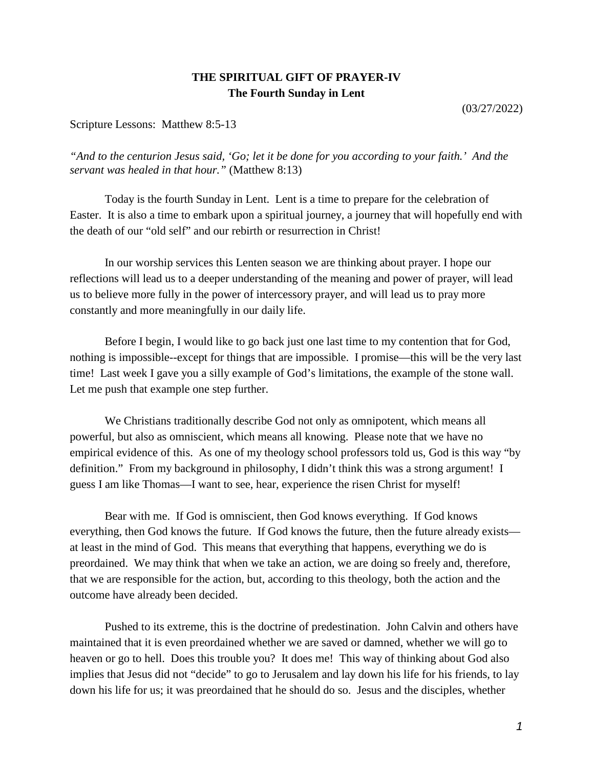## **THE SPIRITUAL GIFT OF PRAYER-IV The Fourth Sunday in Lent**

(03/27/2022)

Scripture Lessons: Matthew 8:5-13

*"And to the centurion Jesus said, 'Go; let it be done for you according to your faith.' And the servant was healed in that hour."* (Matthew 8:13)

Today is the fourth Sunday in Lent. Lent is a time to prepare for the celebration of Easter. It is also a time to embark upon a spiritual journey, a journey that will hopefully end with the death of our "old self" and our rebirth or resurrection in Christ!

In our worship services this Lenten season we are thinking about prayer. I hope our reflections will lead us to a deeper understanding of the meaning and power of prayer, will lead us to believe more fully in the power of intercessory prayer, and will lead us to pray more constantly and more meaningfully in our daily life.

Before I begin, I would like to go back just one last time to my contention that for God, nothing is impossible--except for things that are impossible. I promise—this will be the very last time! Last week I gave you a silly example of God's limitations, the example of the stone wall. Let me push that example one step further.

We Christians traditionally describe God not only as omnipotent, which means all powerful, but also as omniscient, which means all knowing. Please note that we have no empirical evidence of this. As one of my theology school professors told us, God is this way "by definition." From my background in philosophy, I didn't think this was a strong argument! I guess I am like Thomas—I want to see, hear, experience the risen Christ for myself!

Bear with me. If God is omniscient, then God knows everything. If God knows everything, then God knows the future. If God knows the future, then the future already exists at least in the mind of God. This means that everything that happens, everything we do is preordained. We may think that when we take an action, we are doing so freely and, therefore, that we are responsible for the action, but, according to this theology, both the action and the outcome have already been decided.

Pushed to its extreme, this is the doctrine of predestination. John Calvin and others have maintained that it is even preordained whether we are saved or damned, whether we will go to heaven or go to hell. Does this trouble you? It does me! This way of thinking about God also implies that Jesus did not "decide" to go to Jerusalem and lay down his life for his friends, to lay down his life for us; it was preordained that he should do so. Jesus and the disciples, whether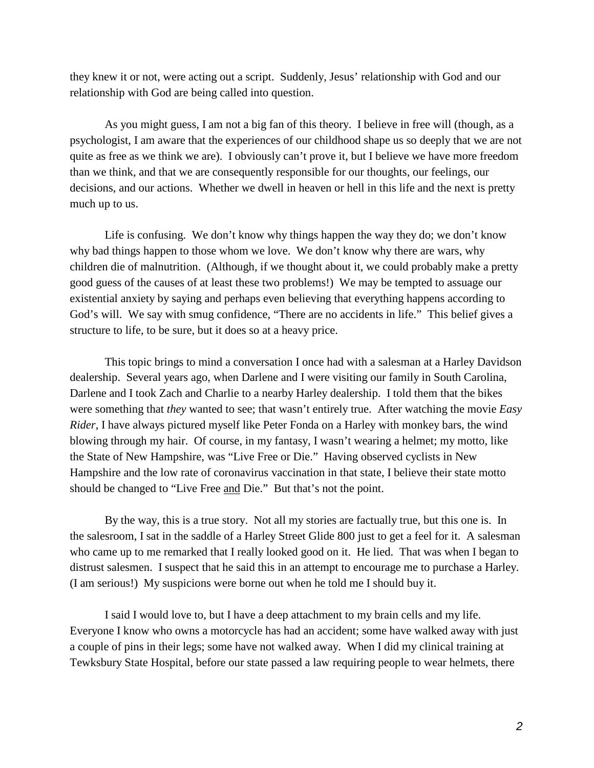they knew it or not, were acting out a script. Suddenly, Jesus' relationship with God and our relationship with God are being called into question.

As you might guess, I am not a big fan of this theory. I believe in free will (though, as a psychologist, I am aware that the experiences of our childhood shape us so deeply that we are not quite as free as we think we are). I obviously can't prove it, but I believe we have more freedom than we think, and that we are consequently responsible for our thoughts, our feelings, our decisions, and our actions. Whether we dwell in heaven or hell in this life and the next is pretty much up to us.

Life is confusing. We don't know why things happen the way they do; we don't know why bad things happen to those whom we love. We don't know why there are wars, why children die of malnutrition. (Although, if we thought about it, we could probably make a pretty good guess of the causes of at least these two problems!) We may be tempted to assuage our existential anxiety by saying and perhaps even believing that everything happens according to God's will. We say with smug confidence, "There are no accidents in life." This belief gives a structure to life, to be sure, but it does so at a heavy price.

This topic brings to mind a conversation I once had with a salesman at a Harley Davidson dealership. Several years ago, when Darlene and I were visiting our family in South Carolina, Darlene and I took Zach and Charlie to a nearby Harley dealership. I told them that the bikes were something that *they* wanted to see; that wasn't entirely true. After watching the movie *Easy Rider*, I have always pictured myself like Peter Fonda on a Harley with monkey bars, the wind blowing through my hair. Of course, in my fantasy, I wasn't wearing a helmet; my motto, like the State of New Hampshire, was "Live Free or Die." Having observed cyclists in New Hampshire and the low rate of coronavirus vaccination in that state, I believe their state motto should be changed to "Live Free and Die." But that's not the point.

By the way, this is a true story. Not all my stories are factually true, but this one is. In the salesroom, I sat in the saddle of a Harley Street Glide 800 just to get a feel for it. A salesman who came up to me remarked that I really looked good on it. He lied. That was when I began to distrust salesmen. I suspect that he said this in an attempt to encourage me to purchase a Harley. (I am serious!) My suspicions were borne out when he told me I should buy it.

I said I would love to, but I have a deep attachment to my brain cells and my life. Everyone I know who owns a motorcycle has had an accident; some have walked away with just a couple of pins in their legs; some have not walked away. When I did my clinical training at Tewksbury State Hospital, before our state passed a law requiring people to wear helmets, there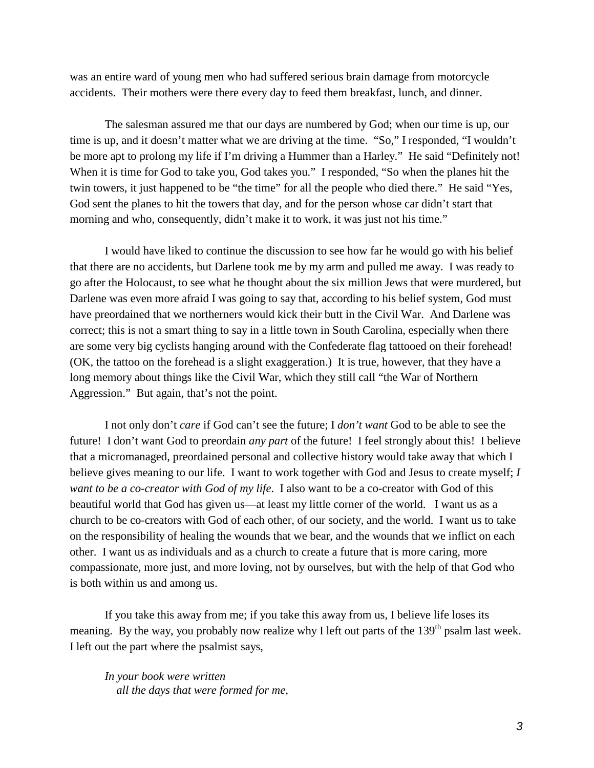was an entire ward of young men who had suffered serious brain damage from motorcycle accidents. Their mothers were there every day to feed them breakfast, lunch, and dinner.

The salesman assured me that our days are numbered by God; when our time is up, our time is up, and it doesn't matter what we are driving at the time. "So," I responded, "I wouldn't be more apt to prolong my life if I'm driving a Hummer than a Harley." He said "Definitely not! When it is time for God to take you, God takes you." I responded, "So when the planes hit the twin towers, it just happened to be "the time" for all the people who died there." He said "Yes, God sent the planes to hit the towers that day, and for the person whose car didn't start that morning and who, consequently, didn't make it to work, it was just not his time."

I would have liked to continue the discussion to see how far he would go with his belief that there are no accidents, but Darlene took me by my arm and pulled me away. I was ready to go after the Holocaust, to see what he thought about the six million Jews that were murdered, but Darlene was even more afraid I was going to say that, according to his belief system, God must have preordained that we northerners would kick their butt in the Civil War. And Darlene was correct; this is not a smart thing to say in a little town in South Carolina, especially when there are some very big cyclists hanging around with the Confederate flag tattooed on their forehead! (OK, the tattoo on the forehead is a slight exaggeration.) It is true, however, that they have a long memory about things like the Civil War, which they still call "the War of Northern Aggression." But again, that's not the point.

I not only don't *care* if God can't see the future; I *don't want* God to be able to see the future! I don't want God to preordain *any part* of the future! I feel strongly about this! I believe that a micromanaged, preordained personal and collective history would take away that which I believe gives meaning to our life. I want to work together with God and Jesus to create myself; *I want to be a co-creator with God of my life*. I also want to be a co-creator with God of this beautiful world that God has given us—at least my little corner of the world. I want us as a church to be co-creators with God of each other, of our society, and the world. I want us to take on the responsibility of healing the wounds that we bear, and the wounds that we inflict on each other. I want us as individuals and as a church to create a future that is more caring, more compassionate, more just, and more loving, not by ourselves, but with the help of that God who is both within us and among us.

If you take this away from me; if you take this away from us, I believe life loses its meaning. By the way, you probably now realize why I left out parts of the  $139<sup>th</sup>$  psalm last week. I left out the part where the psalmist says,

*In your book were written all the days that were formed for me,*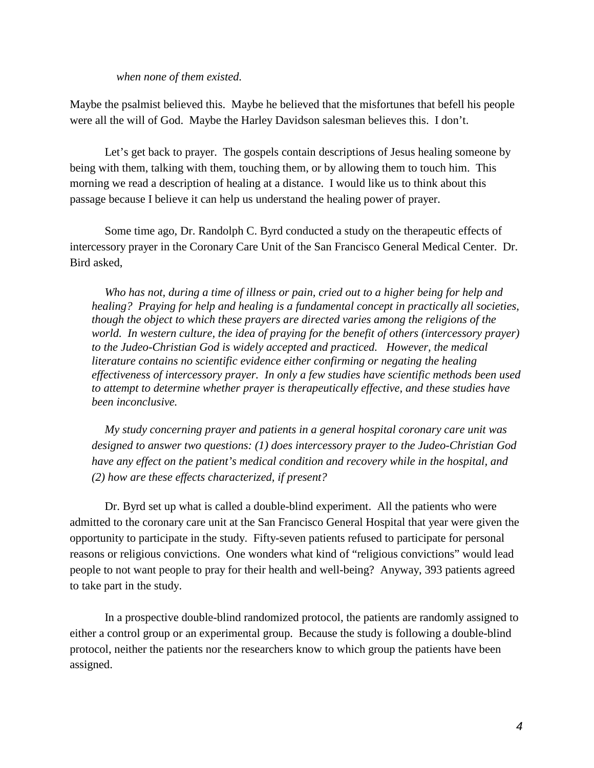## *when none of them existed.*

Maybe the psalmist believed this. Maybe he believed that the misfortunes that befell his people were all the will of God. Maybe the Harley Davidson salesman believes this. I don't.

Let's get back to prayer. The gospels contain descriptions of Jesus healing someone by being with them, talking with them, touching them, or by allowing them to touch him. This morning we read a description of healing at a distance. I would like us to think about this passage because I believe it can help us understand the healing power of prayer.

Some time ago, Dr. Randolph C. Byrd conducted a study on the therapeutic effects of intercessory prayer in the Coronary Care Unit of the San Francisco General Medical Center. Dr. Bird asked,

*Who has not, during a time of illness or pain, cried out to a higher being for help and healing? Praying for help and healing is a fundamental concept in practically all societies, though the object to which these prayers are directed varies among the religions of the world. In western culture, the idea of praying for the benefit of others (intercessory prayer) to the Judeo-Christian God is widely accepted and practiced. However, the medical literature contains no scientific evidence either confirming or negating the healing effectiveness of intercessory prayer. In only a few studies have scientific methods been used to attempt to determine whether prayer is therapeutically effective, and these studies have been inconclusive.*

*My study concerning prayer and patients in a general hospital coronary care unit was designed to answer two questions: (1) does intercessory prayer to the Judeo-Christian God have any effect on the patient's medical condition and recovery while in the hospital, and (2) how are these effects characterized, if present?*

Dr. Byrd set up what is called a double-blind experiment. All the patients who were admitted to the coronary care unit at the San Francisco General Hospital that year were given the opportunity to participate in the study. Fifty-seven patients refused to participate for personal reasons or religious convictions. One wonders what kind of "religious convictions" would lead people to not want people to pray for their health and well-being? Anyway, 393 patients agreed to take part in the study.

In a prospective double-blind randomized protocol, the patients are randomly assigned to either a control group or an experimental group. Because the study is following a double-blind protocol, neither the patients nor the researchers know to which group the patients have been assigned.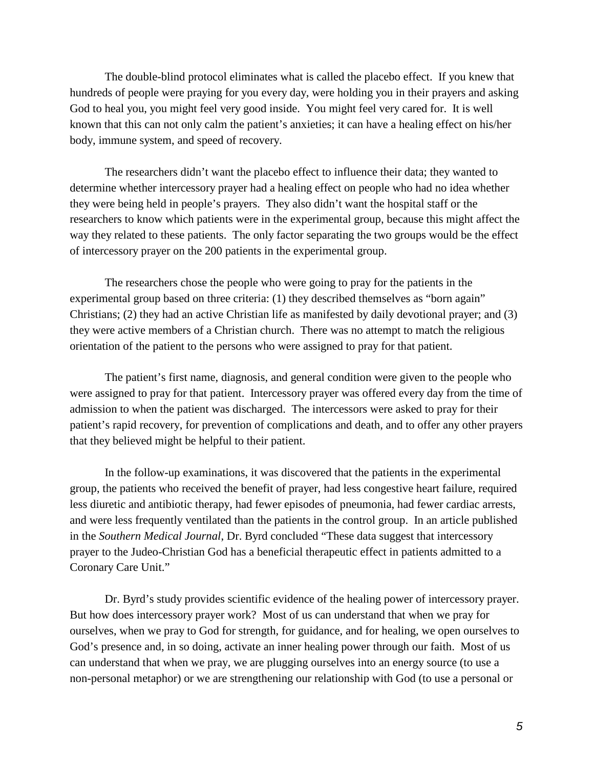The double-blind protocol eliminates what is called the placebo effect. If you knew that hundreds of people were praying for you every day, were holding you in their prayers and asking God to heal you, you might feel very good inside. You might feel very cared for. It is well known that this can not only calm the patient's anxieties; it can have a healing effect on his/her body, immune system, and speed of recovery.

The researchers didn't want the placebo effect to influence their data; they wanted to determine whether intercessory prayer had a healing effect on people who had no idea whether they were being held in people's prayers. They also didn't want the hospital staff or the researchers to know which patients were in the experimental group, because this might affect the way they related to these patients. The only factor separating the two groups would be the effect of intercessory prayer on the 200 patients in the experimental group.

The researchers chose the people who were going to pray for the patients in the experimental group based on three criteria: (1) they described themselves as "born again" Christians; (2) they had an active Christian life as manifested by daily devotional prayer; and (3) they were active members of a Christian church. There was no attempt to match the religious orientation of the patient to the persons who were assigned to pray for that patient.

The patient's first name, diagnosis, and general condition were given to the people who were assigned to pray for that patient. Intercessory prayer was offered every day from the time of admission to when the patient was discharged. The intercessors were asked to pray for their patient's rapid recovery, for prevention of complications and death, and to offer any other prayers that they believed might be helpful to their patient.

In the follow-up examinations, it was discovered that the patients in the experimental group, the patients who received the benefit of prayer, had less congestive heart failure, required less diuretic and antibiotic therapy, had fewer episodes of pneumonia, had fewer cardiac arrests, and were less frequently ventilated than the patients in the control group. In an article published in the *Southern Medical Journal*, Dr. Byrd concluded "These data suggest that intercessory prayer to the Judeo-Christian God has a beneficial therapeutic effect in patients admitted to a Coronary Care Unit."

Dr. Byrd's study provides scientific evidence of the healing power of intercessory prayer. But how does intercessory prayer work? Most of us can understand that when we pray for ourselves, when we pray to God for strength, for guidance, and for healing, we open ourselves to God's presence and, in so doing, activate an inner healing power through our faith. Most of us can understand that when we pray, we are plugging ourselves into an energy source (to use a non-personal metaphor) or we are strengthening our relationship with God (to use a personal or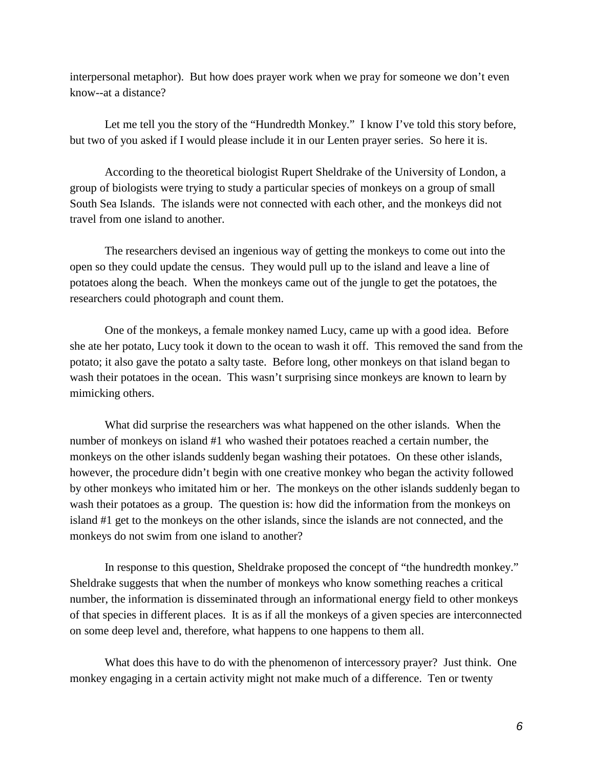interpersonal metaphor). But how does prayer work when we pray for someone we don't even know--at a distance?

Let me tell you the story of the "Hundredth Monkey." I know I've told this story before, but two of you asked if I would please include it in our Lenten prayer series. So here it is.

According to the theoretical biologist Rupert Sheldrake of the University of London, a group of biologists were trying to study a particular species of monkeys on a group of small South Sea Islands. The islands were not connected with each other, and the monkeys did not travel from one island to another.

The researchers devised an ingenious way of getting the monkeys to come out into the open so they could update the census. They would pull up to the island and leave a line of potatoes along the beach. When the monkeys came out of the jungle to get the potatoes, the researchers could photograph and count them.

One of the monkeys, a female monkey named Lucy, came up with a good idea. Before she ate her potato, Lucy took it down to the ocean to wash it off. This removed the sand from the potato; it also gave the potato a salty taste. Before long, other monkeys on that island began to wash their potatoes in the ocean. This wasn't surprising since monkeys are known to learn by mimicking others.

What did surprise the researchers was what happened on the other islands. When the number of monkeys on island #1 who washed their potatoes reached a certain number, the monkeys on the other islands suddenly began washing their potatoes. On these other islands, however, the procedure didn't begin with one creative monkey who began the activity followed by other monkeys who imitated him or her. The monkeys on the other islands suddenly began to wash their potatoes as a group. The question is: how did the information from the monkeys on island #1 get to the monkeys on the other islands, since the islands are not connected, and the monkeys do not swim from one island to another?

In response to this question, Sheldrake proposed the concept of "the hundredth monkey." Sheldrake suggests that when the number of monkeys who know something reaches a critical number, the information is disseminated through an informational energy field to other monkeys of that species in different places. It is as if all the monkeys of a given species are interconnected on some deep level and, therefore, what happens to one happens to them all.

What does this have to do with the phenomenon of intercessory prayer? Just think. One monkey engaging in a certain activity might not make much of a difference. Ten or twenty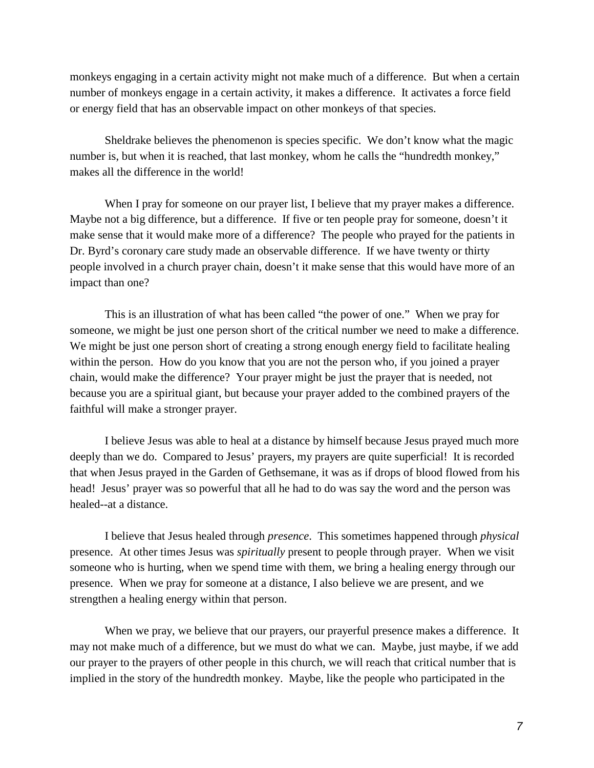monkeys engaging in a certain activity might not make much of a difference. But when a certain number of monkeys engage in a certain activity, it makes a difference. It activates a force field or energy field that has an observable impact on other monkeys of that species.

Sheldrake believes the phenomenon is species specific. We don't know what the magic number is, but when it is reached, that last monkey, whom he calls the "hundredth monkey," makes all the difference in the world!

When I pray for someone on our prayer list, I believe that my prayer makes a difference. Maybe not a big difference, but a difference. If five or ten people pray for someone, doesn't it make sense that it would make more of a difference? The people who prayed for the patients in Dr. Byrd's coronary care study made an observable difference. If we have twenty or thirty people involved in a church prayer chain, doesn't it make sense that this would have more of an impact than one?

This is an illustration of what has been called "the power of one." When we pray for someone, we might be just one person short of the critical number we need to make a difference. We might be just one person short of creating a strong enough energy field to facilitate healing within the person. How do you know that you are not the person who, if you joined a prayer chain, would make the difference? Your prayer might be just the prayer that is needed, not because you are a spiritual giant, but because your prayer added to the combined prayers of the faithful will make a stronger prayer.

I believe Jesus was able to heal at a distance by himself because Jesus prayed much more deeply than we do. Compared to Jesus' prayers, my prayers are quite superficial! It is recorded that when Jesus prayed in the Garden of Gethsemane, it was as if drops of blood flowed from his head! Jesus' prayer was so powerful that all he had to do was say the word and the person was healed--at a distance.

I believe that Jesus healed through *presence*. This sometimes happened through *physical* presence. At other times Jesus was *spiritually* present to people through prayer. When we visit someone who is hurting, when we spend time with them, we bring a healing energy through our presence. When we pray for someone at a distance, I also believe we are present, and we strengthen a healing energy within that person.

When we pray, we believe that our prayers, our prayerful presence makes a difference. It may not make much of a difference, but we must do what we can. Maybe, just maybe, if we add our prayer to the prayers of other people in this church, we will reach that critical number that is implied in the story of the hundredth monkey. Maybe, like the people who participated in the